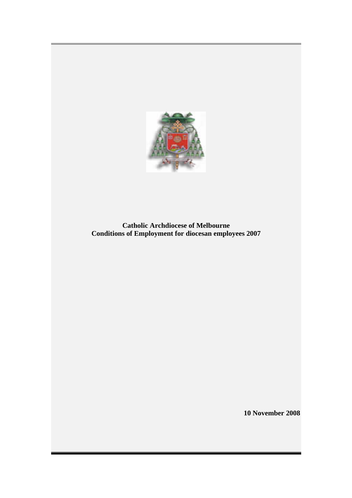

**Catholic Archdiocese of Melbourne Conditions of Employment for diocesan employees 2007** 

**10 November 2008**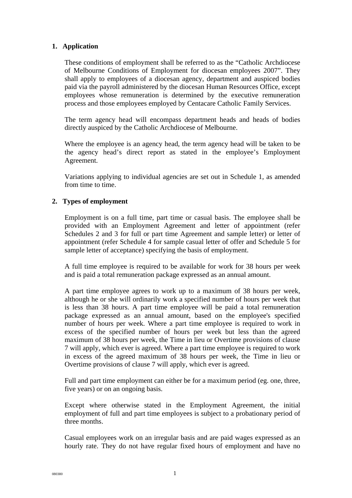# **1. Application**

These conditions of employment shall be referred to as the "Catholic Archdiocese of Melbourne Conditions of Employment for diocesan employees 2007". They shall apply to employees of a diocesan agency, department and auspiced bodies paid via the payroll administered by the diocesan Human Resources Office, except employees whose remuneration is determined by the executive remuneration process and those employees employed by Centacare Catholic Family Services.

The term agency head will encompass department heads and heads of bodies directly auspiced by the Catholic Archdiocese of Melbourne.

Where the employee is an agency head, the term agency head will be taken to be the agency head's direct report as stated in the employee's Employment Agreement.

Variations applying to individual agencies are set out in Schedule 1, as amended from time to time.

# **2. Types of employment**

Employment is on a full time, part time or casual basis. The employee shall be provided with an Employment Agreement and letter of appointment (refer Schedules 2 and 3 for full or part time Agreement and sample letter) or letter of appointment (refer Schedule 4 for sample casual letter of offer and Schedule 5 for sample letter of acceptance) specifying the basis of employment.

A full time employee is required to be available for work for 38 hours per week and is paid a total remuneration package expressed as an annual amount.

A part time employee agrees to work up to a maximum of 38 hours per week, although he or she will ordinarily work a specified number of hours per week that is less than 38 hours. A part time employee will be paid a total remuneration package expressed as an annual amount, based on the employee's specified number of hours per week. Where a part time employee is required to work in excess of the specified number of hours per week but less than the agreed maximum of 38 hours per week, the Time in lieu or Overtime provisions of clause 7 will apply, which ever is agreed. Where a part time employee is required to work in excess of the agreed maximum of 38 hours per week, the Time in lieu or Overtime provisions of clause 7 will apply, which ever is agreed.

Full and part time employment can either be for a maximum period (eg. one, three, five years) or on an ongoing basis.

Except where otherwise stated in the Employment Agreement, the initial employment of full and part time employees is subject to a probationary period of three months.

Casual employees work on an irregular basis and are paid wages expressed as an hourly rate. They do not have regular fixed hours of employment and have no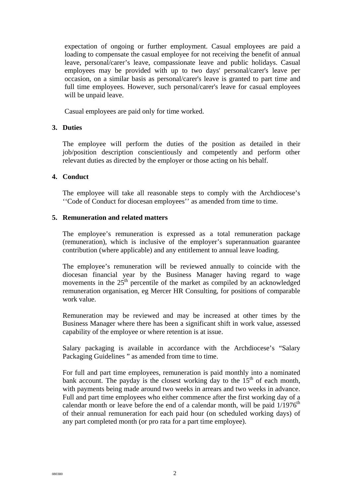expectation of ongoing or further employment. Casual employees are paid a loading to compensate the casual employee for not receiving the benefit of annual leave, personal/carer's leave, compassionate leave and public holidays. Casual employees may be provided with up to two days' personal/carer's leave per occasion, on a similar basis as personal/carer's leave is granted to part time and full time employees. However, such personal/carer's leave for casual employees will be unpaid leave.

Casual employees are paid only for time worked.

# **3. Duties**

The employee will perform the duties of the position as detailed in their job/position description conscientiously and competently and perform other relevant duties as directed by the employer or those acting on his behalf.

# **4. Conduct**

The employee will take all reasonable steps to comply with the Archdiocese's ''Code of Conduct for diocesan employees'' as amended from time to time.

# **5. Remuneration and related matters**

The employee's remuneration is expressed as a total remuneration package (remuneration), which is inclusive of the employer's superannuation guarantee contribution (where applicable) and any entitlement to annual leave loading.

The employee's remuneration will be reviewed annually to coincide with the diocesan financial year by the Business Manager having regard to wage movements in the  $25<sup>th</sup>$  percentile of the market as compiled by an acknowledged remuneration organisation, eg Mercer HR Consulting, for positions of comparable work value.

Remuneration may be reviewed and may be increased at other times by the Business Manager where there has been a significant shift in work value, assessed capability of the employee or where retention is at issue.

Salary packaging is available in accordance with the Archdiocese's "Salary Packaging Guidelines " as amended from time to time.

For full and part time employees, remuneration is paid monthly into a nominated bank account. The payday is the closest working day to the  $15<sup>th</sup>$  of each month, with payments being made around two weeks in arrears and two weeks in advance. Full and part time employees who either commence after the first working day of a calendar month or leave before the end of a calendar month, will be paid  $1/1976<sup>th</sup>$ of their annual remuneration for each paid hour (on scheduled working days) of any part completed month (or pro rata for a part time employee).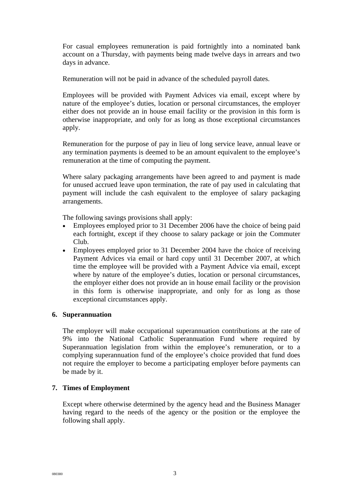For casual employees remuneration is paid fortnightly into a nominated bank account on a Thursday, with payments being made twelve days in arrears and two days in advance.

Remuneration will not be paid in advance of the scheduled payroll dates.

Employees will be provided with Payment Advices via email, except where by nature of the employee's duties, location or personal circumstances, the employer either does not provide an in house email facility or the provision in this form is otherwise inappropriate, and only for as long as those exceptional circumstances apply.

Remuneration for the purpose of pay in lieu of long service leave, annual leave or any termination payments is deemed to be an amount equivalent to the employee's remuneration at the time of computing the payment.

Where salary packaging arrangements have been agreed to and payment is made for unused accrued leave upon termination, the rate of pay used in calculating that payment will include the cash equivalent to the employee of salary packaging arrangements.

The following savings provisions shall apply:

- Employees employed prior to 31 December 2006 have the choice of being paid each fortnight, except if they choose to salary package or join the Commuter Club.
- Employees employed prior to 31 December 2004 have the choice of receiving Payment Advices via email or hard copy until 31 December 2007, at which time the employee will be provided with a Payment Advice via email, except where by nature of the employee's duties, location or personal circumstances, the employer either does not provide an in house email facility or the provision in this form is otherwise inappropriate, and only for as long as those exceptional circumstances apply.

### **6. Superannuation**

The employer will make occupational superannuation contributions at the rate of 9% into the National Catholic Superannuation Fund where required by Superannuation legislation from within the employee's remuneration, or to a complying superannuation fund of the employee's choice provided that fund does not require the employer to become a participating employer before payments can be made by it.

### **7. Times of Employment**

Except where otherwise determined by the agency head and the Business Manager having regard to the needs of the agency or the position or the employee the following shall apply.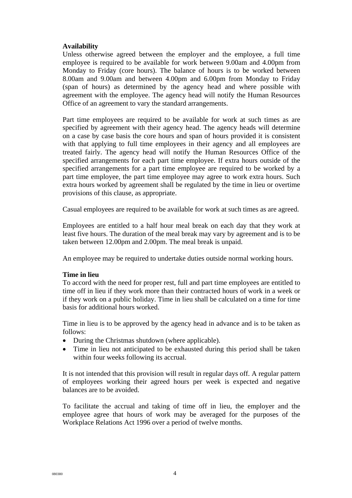# **Availability**

Unless otherwise agreed between the employer and the employee, a full time employee is required to be available for work between 9.00am and 4.00pm from Monday to Friday (core hours). The balance of hours is to be worked between 8.00am and 9.00am and between 4.00pm and 6.00pm from Monday to Friday (span of hours) as determined by the agency head and where possible with agreement with the employee. The agency head will notify the Human Resources Office of an agreement to vary the standard arrangements.

Part time employees are required to be available for work at such times as are specified by agreement with their agency head. The agency heads will determine on a case by case basis the core hours and span of hours provided it is consistent with that applying to full time employees in their agency and all employees are treated fairly. The agency head will notify the Human Resources Office of the specified arrangements for each part time employee. If extra hours outside of the specified arrangements for a part time employee are required to be worked by a part time employee, the part time employee may agree to work extra hours. Such extra hours worked by agreement shall be regulated by the time in lieu or overtime provisions of this clause, as appropriate.

Casual employees are required to be available for work at such times as are agreed.

Employees are entitled to a half hour meal break on each day that they work at least five hours. The duration of the meal break may vary by agreement and is to be taken between 12.00pm and 2.00pm. The meal break is unpaid.

An employee may be required to undertake duties outside normal working hours.

### **Time in lieu**

To accord with the need for proper rest, full and part time employees are entitled to time off in lieu if they work more than their contracted hours of work in a week or if they work on a public holiday. Time in lieu shall be calculated on a time for time basis for additional hours worked.

Time in lieu is to be approved by the agency head in advance and is to be taken as follows:

- During the Christmas shutdown (where applicable).
- Time in lieu not anticipated to be exhausted during this period shall be taken within four weeks following its accrual.

It is not intended that this provision will result in regular days off. A regular pattern of employees working their agreed hours per week is expected and negative balances are to be avoided.

To facilitate the accrual and taking of time off in lieu, the employer and the employee agree that hours of work may be averaged for the purposes of the Workplace Relations Act 1996 over a period of twelve months.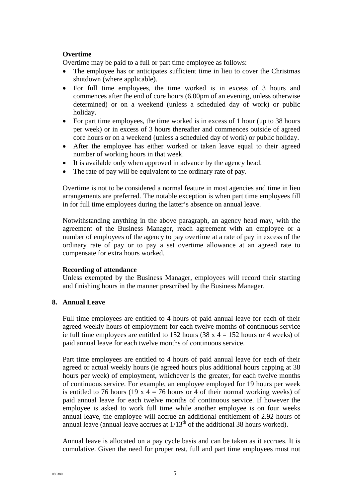# **Overtime**

Overtime may be paid to a full or part time employee as follows:

- The employee has or anticipates sufficient time in lieu to cover the Christmas shutdown (where applicable).
- For full time employees, the time worked is in excess of 3 hours and commences after the end of core hours (6.00pm of an evening, unless otherwise determined) or on a weekend (unless a scheduled day of work) or public holiday.
- For part time employees, the time worked is in excess of 1 hour (up to 38 hours) per week) or in excess of 3 hours thereafter and commences outside of agreed core hours or on a weekend (unless a scheduled day of work) or public holiday.
- After the employee has either worked or taken leave equal to their agreed number of working hours in that week.
- It is available only when approved in advance by the agency head.
- The rate of pay will be equivalent to the ordinary rate of pay.

Overtime is not to be considered a normal feature in most agencies and time in lieu arrangements are preferred. The notable exception is when part time employees fill in for full time employees during the latter's absence on annual leave.

Notwithstanding anything in the above paragraph, an agency head may, with the agreement of the Business Manager, reach agreement with an employee or a number of employees of the agency to pay overtime at a rate of pay in excess of the ordinary rate of pay or to pay a set overtime allowance at an agreed rate to compensate for extra hours worked.

### **Recording of attendance**

Unless exempted by the Business Manager, employees will record their starting and finishing hours in the manner prescribed by the Business Manager.

### **8. Annual Leave**

Full time employees are entitled to 4 hours of paid annual leave for each of their agreed weekly hours of employment for each twelve months of continuous service ie full time employees are entitled to 152 hours  $(38 \times 4 = 152$  hours or 4 weeks) of paid annual leave for each twelve months of continuous service.

Part time employees are entitled to 4 hours of paid annual leave for each of their agreed or actual weekly hours (ie agreed hours plus additional hours capping at 38 hours per week) of employment, whichever is the greater, for each twelve months of continuous service. For example, an employee employed for 19 hours per week is entitled to 76 hours (19 x  $4 = 76$  hours or 4 of their normal working weeks) of paid annual leave for each twelve months of continuous service. If however the employee is asked to work full time while another employee is on four weeks annual leave, the employee will accrue an additional entitlement of 2.92 hours of annual leave (annual leave accrues at  $1/13<sup>th</sup>$  of the additional 38 hours worked).

Annual leave is allocated on a pay cycle basis and can be taken as it accrues. It is cumulative. Given the need for proper rest, full and part time employees must not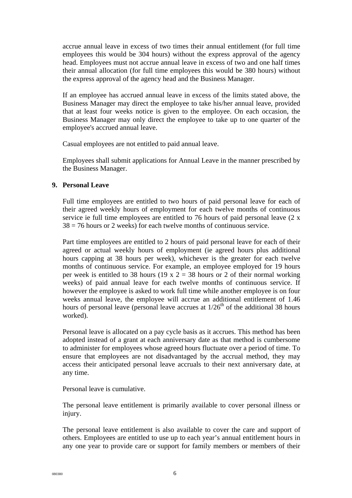accrue annual leave in excess of two times their annual entitlement (for full time employees this would be 304 hours) without the express approval of the agency head. Employees must not accrue annual leave in excess of two and one half times their annual allocation (for full time employees this would be 380 hours) without the express approval of the agency head and the Business Manager.

If an employee has accrued annual leave in excess of the limits stated above, the Business Manager may direct the employee to take his/her annual leave, provided that at least four weeks notice is given to the employee. On each occasion, the Business Manager may only direct the employee to take up to one quarter of the employee's accrued annual leave.

Casual employees are not entitled to paid annual leave.

Employees shall submit applications for Annual Leave in the manner prescribed by the Business Manager.

### **9. Personal Leave**

Full time employees are entitled to two hours of paid personal leave for each of their agreed weekly hours of employment for each twelve months of continuous service ie full time employees are entitled to 76 hours of paid personal leave (2 x  $38 = 76$  hours or 2 weeks) for each twelve months of continuous service.

Part time employees are entitled to 2 hours of paid personal leave for each of their agreed or actual weekly hours of employment (ie agreed hours plus additional hours capping at 38 hours per week), whichever is the greater for each twelve months of continuous service. For example, an employee employed for 19 hours per week is entitled to 38 hours (19 x  $2 = 38$  hours or 2 of their normal working weeks) of paid annual leave for each twelve months of continuous service. If however the employee is asked to work full time while another employee is on four weeks annual leave, the employee will accrue an additional entitlement of 1.46 hours of personal leave (personal leave accrues at  $1/26<sup>th</sup>$  of the additional 38 hours worked).

Personal leave is allocated on a pay cycle basis as it accrues. This method has been adopted instead of a grant at each anniversary date as that method is cumbersome to administer for employees whose agreed hours fluctuate over a period of time. To ensure that employees are not disadvantaged by the accrual method, they may access their anticipated personal leave accruals to their next anniversary date, at any time.

Personal leave is cumulative.

The personal leave entitlement is primarily available to cover personal illness or injury.

The personal leave entitlement is also available to cover the care and support of others. Employees are entitled to use up to each year's annual entitlement hours in any one year to provide care or support for family members or members of their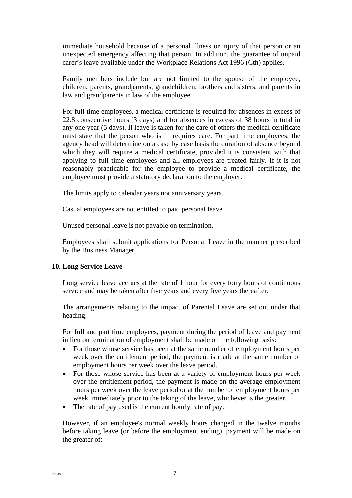immediate household because of a personal illness or injury of that person or an unexpected emergency affecting that person. In addition, the guarantee of unpaid carer's leave available under the Workplace Relations Act 1996 (Cth) applies.

Family members include but are not limited to the spouse of the employee, children, parents, grandparents, grandchildren, brothers and sisters, and parents in law and grandparents in law of the employee.

For full time employees, a medical certificate is required for absences in excess of 22.8 consecutive hours (3 days) and for absences in excess of 38 hours in total in any one year (5 days). If leave is taken for the care of others the medical certificate must state that the person who is ill requires care. For part time employees, the agency head will determine on a case by case basis the duration of absence beyond which they will require a medical certificate, provided it is consistent with that applying to full time employees and all employees are treated fairly. If it is not reasonably practicable for the employee to provide a medical certificate, the employee must provide a statutory declaration to the employer.

The limits apply to calendar years not anniversary years.

Casual employees are not entitled to paid personal leave.

Unused personal leave is not payable on termination.

Employees shall submit applications for Personal Leave in the manner prescribed by the Business Manager.

#### **10. Long Service Leave**

Long service leave accrues at the rate of 1 hour for every forty hours of continuous service and may be taken after five years and every five years thereafter.

The arrangements relating to the impact of Parental Leave are set out under that heading.

For full and part time employees, payment during the period of leave and payment in lieu on termination of employment shall be made on the following basis:

- For those whose service has been at the same number of employment hours per week over the entitlement period, the payment is made at the same number of employment hours per week over the leave period.
- For those whose service has been at a variety of employment hours per week over the entitlement period, the payment is made on the average employment hours per week over the leave period or at the number of employment hours per week immediately prior to the taking of the leave, whichever is the greater.
- The rate of pay used is the current hourly rate of pay.

However, if an employee's normal weekly hours changed in the twelve months before taking leave (or before the employment ending), payment will be made on the greater of: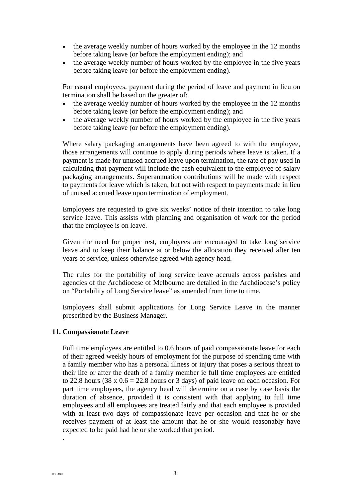- the average weekly number of hours worked by the employee in the 12 months before taking leave (or before the employment ending); and
- the average weekly number of hours worked by the employee in the five years before taking leave (or before the employment ending).

For casual employees, payment during the period of leave and payment in lieu on termination shall be based on the greater of:

- the average weekly number of hours worked by the employee in the 12 months before taking leave (or before the employment ending); and
- the average weekly number of hours worked by the employee in the five years before taking leave (or before the employment ending).

Where salary packaging arrangements have been agreed to with the employee, those arrangements will continue to apply during periods where leave is taken. If a payment is made for unused accrued leave upon termination, the rate of pay used in calculating that payment will include the cash equivalent to the employee of salary packaging arrangements. Superannuation contributions will be made with respect to payments for leave which is taken, but not with respect to payments made in lieu of unused accrued leave upon termination of employment.

Employees are requested to give six weeks' notice of their intention to take long service leave. This assists with planning and organisation of work for the period that the employee is on leave.

Given the need for proper rest, employees are encouraged to take long service leave and to keep their balance at or below the allocation they received after ten years of service, unless otherwise agreed with agency head.

The rules for the portability of long service leave accruals across parishes and agencies of the Archdiocese of Melbourne are detailed in the Archdiocese's policy on "Portability of Long Service leave" as amended from time to time.

Employees shall submit applications for Long Service Leave in the manner prescribed by the Business Manager.

### **11. Compassionate Leave**

Full time employees are entitled to 0.6 hours of paid compassionate leave for each of their agreed weekly hours of employment for the purpose of spending time with a family member who has a personal illness or injury that poses a serious threat to their life or after the death of a family member ie full time employees are entitled to 22.8 hours (38 x  $0.6 = 22.8$  hours or 3 days) of paid leave on each occasion. For part time employees, the agency head will determine on a case by case basis the duration of absence, provided it is consistent with that applying to full time employees and all employees are treated fairly and that each employee is provided with at least two days of compassionate leave per occasion and that he or she receives payment of at least the amount that he or she would reasonably have expected to be paid had he or she worked that period.

.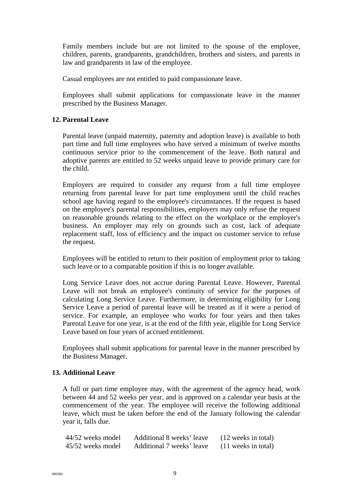Family members include but are not limited to the spouse of the employee, children, parents, grandparents, grandchildren, brothers and sisters, and parents in law and grandparents in law of the employee.

Casual employees are not entitled to paid compassionate leave.

Employees shall submit applications for compassionate leave in the manner prescribed by the Business Manager.

# **12. Parental Leave**

Parental leave (unpaid maternity, paternity and adoption leave) is available to both part time and full time employees who have served a minimum of twelve months continuous service prior to the commencement of the leave. Both natural and adoptive parents are entitled to 52 weeks unpaid leave to provide primary care for the child.

Employers are required to consider any request from a full time employee returning from parental leave for part time employment until the child reaches school age having regard to the employee's circumstances. If the request is based on the employee's parental responsibilities, employers may only refuse the request on reasonable grounds relating to the effect on the workplace or the employer's business. An employer may rely on grounds such as cost, lack of adequate replacement staff, loss of efficiency and the impact on customer service to refuse the request.

Employees will be entitled to return to their position of employment prior to taking such leave or to a comparable position if this is no longer available.

Long Service Leave does not accrue during Parental Leave. However, Parental Leave will not break an employee's continuity of service for the purposes of calculating Long Service Leave. Furthermore, in determining eligibility for Long Service Leave a period of parental leave will be treated as if it were a period of service. For example, an employee who works for four years and then takes Parental Leave for one year, is at the end of the fifth year, eligible for Long Service Leave based on four years of accrued entitlement.

Employees shall submit applications for parental leave in the manner prescribed by the Business Manager.

### **13. Additional Leave**

A full or part time employee may, with the agreement of the agency head, work between 44 and 52 weeks per year, and is approved on a calendar year basis at the commencement of the year. The employee will receive the following additional leave, which must be taken before the end of the January following the calendar year it, falls due.

| 44/52 weeks model | Additional 8 weeks' leave | (12 weeks in total)   |
|-------------------|---------------------------|-----------------------|
| 45/52 weeks model | Additional 7 weeks' leave | $(11$ weeks in total) |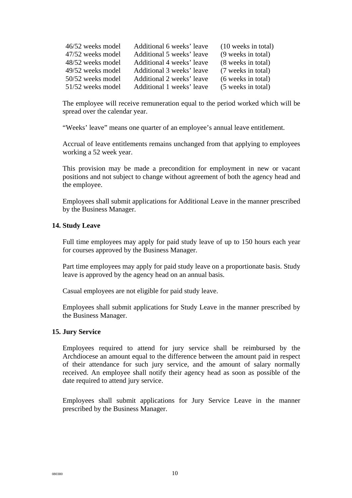| 46/52 weeks model | Additional 6 weeks' leave | $(10$ weeks in total) |
|-------------------|---------------------------|-----------------------|
| 47/52 weeks model | Additional 5 weeks' leave | (9 weeks in total)    |
| 48/52 weeks model | Additional 4 weeks' leave | (8 weeks in total)    |
| 49/52 weeks model | Additional 3 weeks' leave | (7 weeks in total)    |
| 50/52 weeks model | Additional 2 weeks' leave | (6 weeks in total)    |
| 51/52 weeks model | Additional 1 weeks' leave | (5 weeks in total)    |

The employee will receive remuneration equal to the period worked which will be spread over the calendar year.

"Weeks' leave" means one quarter of an employee's annual leave entitlement.

Accrual of leave entitlements remains unchanged from that applying to employees working a 52 week year.

This provision may be made a precondition for employment in new or vacant positions and not subject to change without agreement of both the agency head and the employee.

Employees shall submit applications for Additional Leave in the manner prescribed by the Business Manager.

#### **14. Study Leave**

Full time employees may apply for paid study leave of up to 150 hours each year for courses approved by the Business Manager.

Part time employees may apply for paid study leave on a proportionate basis. Study leave is approved by the agency head on an annual basis.

Casual employees are not eligible for paid study leave.

Employees shall submit applications for Study Leave in the manner prescribed by the Business Manager.

#### **15. Jury Service**

Employees required to attend for jury service shall be reimbursed by the Archdiocese an amount equal to the difference between the amount paid in respect of their attendance for such jury service, and the amount of salary normally received. An employee shall notify their agency head as soon as possible of the date required to attend jury service.

Employees shall submit applications for Jury Service Leave in the manner prescribed by the Business Manager.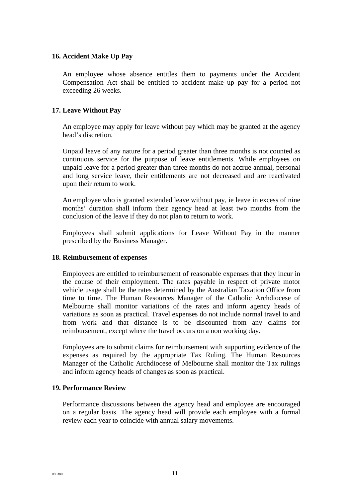### **16. Accident Make Up Pay**

An employee whose absence entitles them to payments under the Accident Compensation Act shall be entitled to accident make up pay for a period not exceeding 26 weeks.

# **17. Leave Without Pay**

An employee may apply for leave without pay which may be granted at the agency head's discretion.

Unpaid leave of any nature for a period greater than three months is not counted as continuous service for the purpose of leave entitlements. While employees on unpaid leave for a period greater than three months do not accrue annual, personal and long service leave, their entitlements are not decreased and are reactivated upon their return to work.

An employee who is granted extended leave without pay, ie leave in excess of nine months' duration shall inform their agency head at least two months from the conclusion of the leave if they do not plan to return to work.

Employees shall submit applications for Leave Without Pay in the manner prescribed by the Business Manager.

### **18. Reimbursement of expenses**

Employees are entitled to reimbursement of reasonable expenses that they incur in the course of their employment. The rates payable in respect of private motor vehicle usage shall be the rates determined by the Australian Taxation Office from time to time. The Human Resources Manager of the Catholic Archdiocese of Melbourne shall monitor variations of the rates and inform agency heads of variations as soon as practical. Travel expenses do not include normal travel to and from work and that distance is to be discounted from any claims for reimbursement, except where the travel occurs on a non working day.

Employees are to submit claims for reimbursement with supporting evidence of the expenses as required by the appropriate Tax Ruling. The Human Resources Manager of the Catholic Archdiocese of Melbourne shall monitor the Tax rulings and inform agency heads of changes as soon as practical.

### **19. Performance Review**

Performance discussions between the agency head and employee are encouraged on a regular basis. The agency head will provide each employee with a formal review each year to coincide with annual salary movements.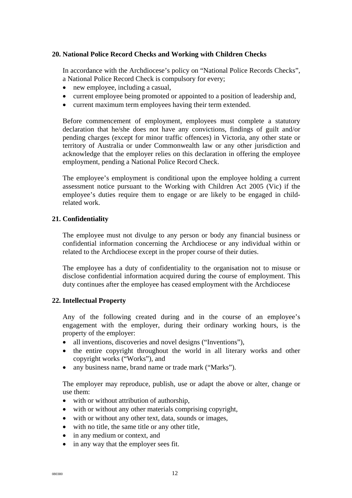# **20. National Police Record Checks and Working with Children Checks**

In accordance with the Archdiocese's policy on "National Police Records Checks", a National Police Record Check is compulsory for every;

- new employee, including a casual,
- current employee being promoted or appointed to a position of leadership and,
- current maximum term employees having their term extended.

Before commencement of employment, employees must complete a statutory declaration that he/she does not have any convictions, findings of guilt and/or pending charges (except for minor traffic offences) in Victoria, any other state or territory of Australia or under Commonwealth law or any other jurisdiction and acknowledge that the employer relies on this declaration in offering the employee employment, pending a National Police Record Check.

The employee's employment is conditional upon the employee holding a current assessment notice pursuant to the Working with Children Act 2005 (Vic) if the employee's duties require them to engage or are likely to be engaged in childrelated work.

### **21. Confidentiality**

The employee must not divulge to any person or body any financial business or confidential information concerning the Archdiocese or any individual within or related to the Archdiocese except in the proper course of their duties.

The employee has a duty of confidentiality to the organisation not to misuse or disclose confidential information acquired during the course of employment. This duty continues after the employee has ceased employment with the Archdiocese

### **22. Intellectual Property**

Any of the following created during and in the course of an employee's engagement with the employer, during their ordinary working hours, is the property of the employer:

- all inventions, discoveries and novel designs ("Inventions"),
- the entire copyright throughout the world in all literary works and other copyright works ("Works"), and
- any business name, brand name or trade mark ("Marks").

The employer may reproduce, publish, use or adapt the above or alter, change or use them:

- with or without attribution of authorship,
- with or without any other materials comprising copyright,
- with or without any other text, data, sounds or images,
- with no title, the same title or any other title.
- in any medium or context, and
- in any way that the employer sees fit.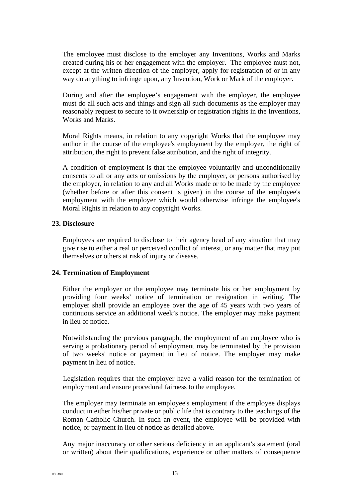The employee must disclose to the employer any Inventions, Works and Marks created during his or her engagement with the employer. The employee must not, except at the written direction of the employer, apply for registration of or in any way do anything to infringe upon, any Invention, Work or Mark of the employer.

During and after the employee's engagement with the employer, the employee must do all such acts and things and sign all such documents as the employer may reasonably request to secure to it ownership or registration rights in the Inventions, Works and Marks.

Moral Rights means, in relation to any copyright Works that the employee may author in the course of the employee's employment by the employer, the right of attribution, the right to prevent false attribution, and the right of integrity.

A condition of employment is that the employee voluntarily and unconditionally consents to all or any acts or omissions by the employer, or persons authorised by the employer, in relation to any and all Works made or to be made by the employee (whether before or after this consent is given) in the course of the employee's employment with the employer which would otherwise infringe the employee's Moral Rights in relation to any copyright Works.

# **23. Disclosure**

Employees are required to disclose to their agency head of any situation that may give rise to either a real or perceived conflict of interest, or any matter that may put themselves or others at risk of injury or disease.

### **24. Termination of Employment**

Either the employer or the employee may terminate his or her employment by providing four weeks' notice of termination or resignation in writing. The employer shall provide an employee over the age of 45 years with two years of continuous service an additional week's notice. The employer may make payment in lieu of notice.

Notwithstanding the previous paragraph, the employment of an employee who is serving a probationary period of employment may be terminated by the provision of two weeks' notice or payment in lieu of notice. The employer may make payment in lieu of notice.

Legislation requires that the employer have a valid reason for the termination of employment and ensure procedural fairness to the employee.

The employer may terminate an employee's employment if the employee displays conduct in either his/her private or public life that is contrary to the teachings of the Roman Catholic Church. In such an event, the employee will be provided with notice, or payment in lieu of notice as detailed above.

Any major inaccuracy or other serious deficiency in an applicant's statement (oral or written) about their qualifications, experience or other matters of consequence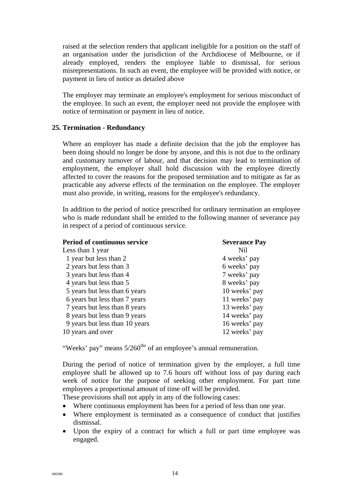raised at the selection renders that applicant ineligible for a position on the staff of an organisation under the jurisdiction of the Archdiocese of Melbourne, or if already employed, renders the employee liable to dismissal, for serious misrepresentations. In such an event, the employee will be provided with notice, or payment in lieu of notice as detailed above

The employer may terminate an employee's employment for serious misconduct of the employee. In such an event, the employer need not provide the employee with notice of termination or payment in lieu of notice.

### **25. Termination - Redundancy**

Where an employer has made a definite decision that the job the employee has been doing should no longer be done by anyone, and this is not due to the ordinary and customary turnover of labour, and that decision may lead to termination of employment, the employer shall hold discussion with the employee directly affected to cover the reasons for the proposed termination and to mitigate as far as practicable any adverse effects of the termination on the employee. The employer must also provide, in writing, reasons for the employee's redundancy.

In addition to the period of notice prescribed for ordinary termination an employee who is made redundant shall be entitled to the following manner of severance pay in respect of a period of continuous service.

| <b>Period of continuous service</b> | <b>Severance Pay</b> |
|-------------------------------------|----------------------|
| Less than 1 year                    | Nil                  |
| 1 year but less than 2              | 4 weeks' pay         |
| 2 years but less than 3             | 6 weeks' pay         |
| 3 years but less than 4             | 7 weeks' pay         |
| 4 years but less than 5             | 8 weeks' pay         |
| 5 years but less than 6 years       | 10 weeks' pay        |
| 6 years but less than 7 years       | 11 weeks' pay        |
| 7 years but less than 8 years       | 13 weeks' pay        |
| 8 years but less than 9 years       | 14 weeks' pay        |
| 9 years but less than 10 years      | 16 weeks' pay        |
| 10 years and over                   | 12 weeks' pay        |

"Weeks' pay" means 5/260<sup>ths</sup> of an employee's annual remuneration.

During the period of notice of termination given by the employer, a full time employee shall be allowed up to 7.6 hours off without loss of pay during each week of notice for the purpose of seeking other employment. For part time employees a proportional amount of time off will be provided.

These provisions shall not apply in any of the following cases:

- Where continuous employment has been for a period of less than one year.
- Where employment is terminated as a consequence of conduct that justifies dismissal.
- Upon the expiry of a contract for which a full or part time employee was engaged.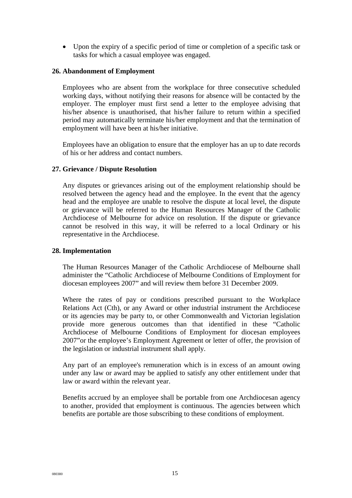• Upon the expiry of a specific period of time or completion of a specific task or tasks for which a casual employee was engaged.

#### **26. Abandonment of Employment**

Employees who are absent from the workplace for three consecutive scheduled working days, without notifying their reasons for absence will be contacted by the employer. The employer must first send a letter to the employee advising that his/her absence is unauthorised, that his/her failure to return within a specified period may automatically terminate his/her employment and that the termination of employment will have been at his/her initiative.

Employees have an obligation to ensure that the employer has an up to date records of his or her address and contact numbers.

#### **27. Grievance / Dispute Resolution**

Any disputes or grievances arising out of the employment relationship should be resolved between the agency head and the employee. In the event that the agency head and the employee are unable to resolve the dispute at local level, the dispute or grievance will be referred to the Human Resources Manager of the Catholic Archdiocese of Melbourne for advice on resolution. If the dispute or grievance cannot be resolved in this way, it will be referred to a local Ordinary or his representative in the Archdiocese.

#### **28. Implementation**

The Human Resources Manager of the Catholic Archdiocese of Melbourne shall administer the "Catholic Archdiocese of Melbourne Conditions of Employment for diocesan employees 2007" and will review them before 31 December 2009.

Where the rates of pay or conditions prescribed pursuant to the Workplace Relations Act (Cth), or any Award or other industrial instrument the Archdiocese or its agencies may be party to, or other Commonwealth and Victorian legislation provide more generous outcomes than that identified in these "Catholic Archdiocese of Melbourne Conditions of Employment for diocesan employees 2007"or the employee's Employment Agreement or letter of offer, the provision of the legislation or industrial instrument shall apply.

Any part of an employee's remuneration which is in excess of an amount owing under any law or award may be applied to satisfy any other entitlement under that law or award within the relevant year.

Benefits accrued by an employee shall be portable from one Archdiocesan agency to another, provided that employment is continuous. The agencies between which benefits are portable are those subscribing to these conditions of employment.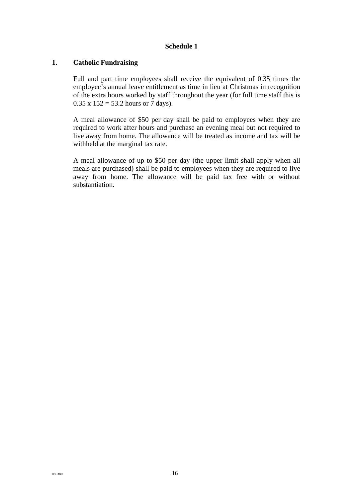# **Schedule 1**

# **1. Catholic Fundraising**

Full and part time employees shall receive the equivalent of 0.35 times the employee's annual leave entitlement as time in lieu at Christmas in recognition of the extra hours worked by staff throughout the year (for full time staff this is  $0.35 \times 152 = 53.2$  hours or 7 days).

A meal allowance of \$50 per day shall be paid to employees when they are required to work after hours and purchase an evening meal but not required to live away from home. The allowance will be treated as income and tax will be withheld at the marginal tax rate.

A meal allowance of up to \$50 per day (the upper limit shall apply when all meals are purchased) shall be paid to employees when they are required to live away from home. The allowance will be paid tax free with or without substantiation.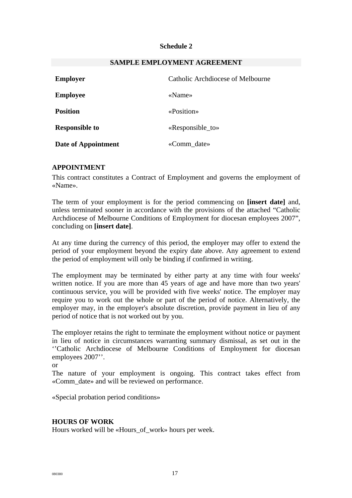### **Schedule 2**

| <b>Employer</b>       | Catholic Archdiocese of Melbourne |  |
|-----------------------|-----------------------------------|--|
| <b>Employee</b>       | $\langle$ Name $\rangle$          |  |
| <b>Position</b>       | «Position»                        |  |
| <b>Responsible to</b> | «Responsible_to»                  |  |
| Date of Appointment   | «Comm_date»                       |  |

#### **SAMPLE EMPLOYMENT AGREEMENT**

### **APPOINTMENT**

This contract constitutes a Contract of Employment and governs the employment of «Name».

The term of your employment is for the period commencing on **[insert date]** and, unless terminated sooner in accordance with the provisions of the attached "Catholic Archdiocese of Melbourne Conditions of Employment for diocesan employees 2007", concluding on **[insert date]**.

At any time during the currency of this period, the employer may offer to extend the period of your employment beyond the expiry date above. Any agreement to extend the period of employment will only be binding if confirmed in writing.

The employment may be terminated by either party at any time with four weeks' written notice. If you are more than 45 years of age and have more than two years' continuous service, you will be provided with five weeks' notice. The employer may require you to work out the whole or part of the period of notice. Alternatively, the employer may, in the employer's absolute discretion, provide payment in lieu of any period of notice that is not worked out by you.

The employer retains the right to terminate the employment without notice or payment in lieu of notice in circumstances warranting summary dismissal, as set out in the ''Catholic Archdiocese of Melbourne Conditions of Employment for diocesan employees 2007''.

or

The nature of your employment is ongoing. This contract takes effect from «Comm\_date» and will be reviewed on performance.

«Special probation period conditions»

### **HOURS OF WORK**

Hours worked will be «Hours\_of\_work» hours per week.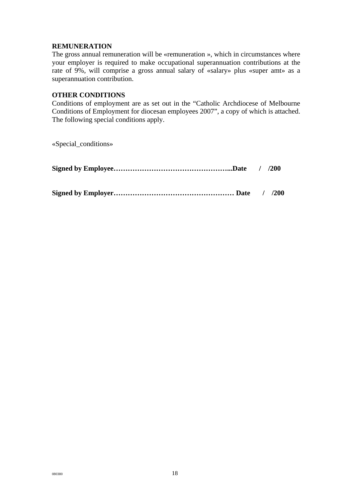# **REMUNERATION**

The gross annual remuneration will be «remuneration », which in circumstances where your employer is required to make occupational superannuation contributions at the rate of 9%, will comprise a gross annual salary of «salary» plus «super amt» as a superannuation contribution.

# **OTHER CONDITIONS**

Conditions of employment are as set out in the "Catholic Archdiocese of Melbourne Conditions of Employment for diocesan employees 2007", a copy of which is attached. The following special conditions apply.

«Special\_conditions»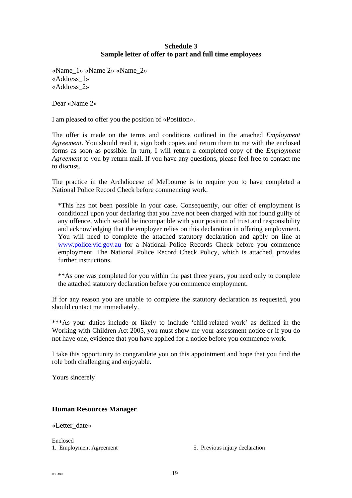# **Schedule 3 Sample letter of offer to part and full time employees**

«Name\_1» «Name 2» «Name\_2» «Address\_1» «Address\_2»

Dear «Name 2»

I am pleased to offer you the position of «Position».

The offer is made on the terms and conditions outlined in the attached *Employment Agreement*. You should read it, sign both copies and return them to me with the enclosed forms as soon as possible. In turn, I will return a completed copy of the *Employment Agreement* to you by return mail. If you have any questions, please feel free to contact me to discuss.

The practice in the Archdiocese of Melbourne is to require you to have completed a National Police Record Check before commencing work.

\*This has not been possible in your case. Consequently, our offer of employment is conditional upon your declaring that you have not been charged with nor found guilty of any offence, which would be incompatible with your position of trust and responsibility and acknowledging that the employer relies on this declaration in offering employment. You will need to complete the attached statutory declaration and apply on line at [www.police.vic.gov.au](http://www.police.vic.gov.au/) for a National Police Records Check before you commence employment. The National Police Record Check Policy, which is attached, provides further instructions.

\*\*As one was completed for you within the past three years, you need only to complete the attached statutory declaration before you commence employment.

If for any reason you are unable to complete the statutory declaration as requested, you should contact me immediately.

\*\*\*As your duties include or likely to include 'child-related work' as defined in the Working with Children Act 2005, you must show me your assessment notice or if you do not have one, evidence that you have applied for a notice before you commence work.

I take this opportunity to congratulate you on this appointment and hope that you find the role both challenging and enjoyable.

Yours sincerely

### **Human Resources Manager**

«Letter\_date»

Enclosed

1. Employment Agreement 5. Previous injury declaration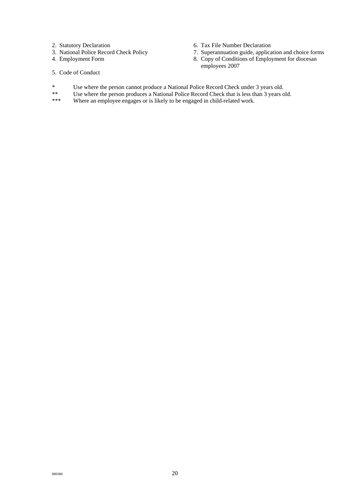- 2. Statutory Declaration 6. Tax File Number Declaration<br>
3. National Police Record Check Policy 7. Superannuation guide, applica
- 
- 
- 3. National Police Record Check Policy 7. Superannuation guide, application and choice forms<br>4. Employment Form 8. Copy of Conditions of Employment for diocesan
	- 8. Copy of Conditions of Employment for diocesan employees 2007
- 5. Code of Conduct
- \* Use where the person cannot produce a National Police Record Check under 3 years old.<br>
<sup>\*\*</sup> Use where the person produces a National Police Record Check that is less than 3 years of
- \*\* Use where the person produces a National Police Record Check that is less than 3 years old.<br>\*\*\* Where an employee engages or is likely to be engaged in child-related work
- Where an employee engages or is likely to be engaged in child-related work.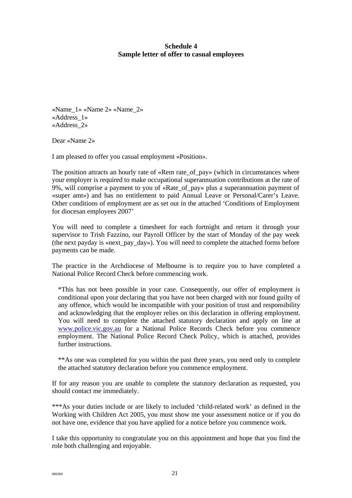# **Schedule 4 Sample letter of offer to casual employees**

«Name\_1» «Name 2» «Name\_2» «Address\_1» «Address\_2»

Dear «Name 2»

I am pleased to offer you casual employment «Position».

The position attracts an hourly rate of «Rem rate of pay» (which in circumstances where your employer is required to make occupational superannuation contributions at the rate of 9%, will comprise a payment to you of «Rate\_of\_pay» plus a superannuation payment of «super amt») and has no entitlement to paid Annual Leave or Personal/Carer's Leave. Other conditions of employment are as set out in the attached 'Conditions of Employment for diocesan employees 2007'

You will need to complete a timesheet for each fortnight and return it through your supervisor to Trish Fazzino, our Payroll Officer by the start of Monday of the pay week (the next payday is «next\_pay\_day»). You will need to complete the attached forms before payments can be made.

The practice in the Archdiocese of Melbourne is to require you to have completed a National Police Record Check before commencing work.

\*This has not been possible in your case. Consequently, our offer of employment is conditional upon your declaring that you have not been charged with nor found guilty of any offence, which would be incompatible with your position of trust and responsibility and acknowledging that the employer relies on this declaration in offering employment. You will need to complete the attached statutory declaration and apply on line at [www.police.vic.gov.au](http://www.police.vic.gov.au/) for a National Police Records Check before you commence employment. The National Police Record Check Policy, which is attached, provides further instructions.

\*\*As one was completed for you within the past three years, you need only to complete the attached statutory declaration before you commence employment.

If for any reason you are unable to complete the statutory declaration as requested, you should contact me immediately.

\*\*\*As your duties include or are likely to included 'child-related work' as defined in the Working with Children Act 2005, you must show me your assessment notice or if you do not have one, evidence that you have applied for a notice before you commence work.

I take this opportunity to congratulate you on this appointment and hope that you find the role both challenging and enjoyable.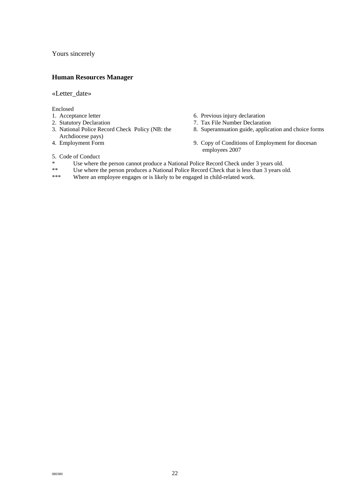Yours sincerely

#### **Human Resources Manager**

#### «Letter\_date»

#### Enclosed

- 
- 
- 3. National Police Record Check Policy (NB: the Archdiocese pays)
- 
- 1. Acceptance letter 6. Previous injury declaration
- 2. Statutory Declaration 2. Tax File Number Declaration
	- 8. Superannuation guide, application and choice forms
- 4. Employment Form 9. Copy of Conditions of Employment for diocesan employees 2007
- 5. Code of Conduct
- \* Use where the person cannot produce a National Police Record Check under 3 years old.<br>\*\* Use where the person produces a National Police Record Check that is less than 3 years of
- Use where the person produces a National Police Record Check that is less than 3 years old.
- \*\*\* Where an employee engages or is likely to be engaged in child-related work.